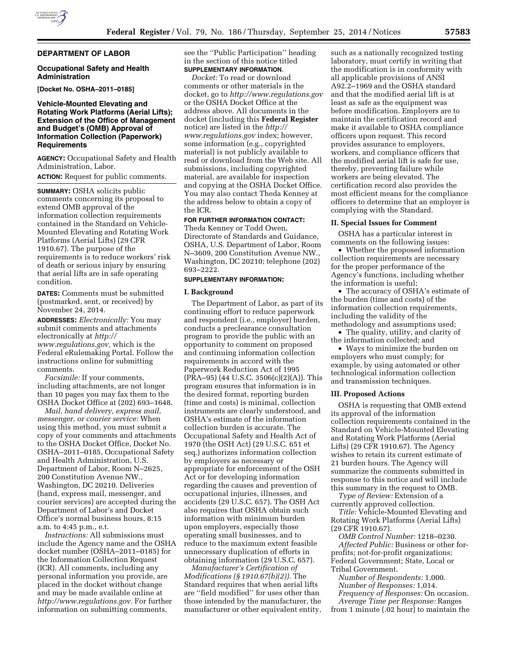### **DEPARTMENT OF LABOR**

### **Occupational Safety and Health Administration**

**[Docket No. OSHA–2011–0185]** 

### **Vehicle-Mounted Elevating and Rotating Work Platforms (Aerial Lifts); Extension of the Office of Management and Budget's (OMB) Approval of Information Collection (Paperwork) Requirements**

**AGENCY:** Occupational Safety and Health Administration, Labor.

**ACTION:** Request for public comments.

**SUMMARY:** OSHA solicits public comments concerning its proposal to extend OMB approval of the information collection requirements contained in the Standard on Vehicle-Mounted Elevating and Rotating Work Platforms (Aerial Lifts) (29 CFR 1910.67). The purpose of the requirements is to reduce workers' risk of death or serious injury by ensuring that aerial lifts are in safe operating condition.

**DATES:** Comments must be submitted (postmarked, sent, or received) by November 24, 2014.

**ADDRESSES:** *Electronically:* You may submit comments and attachments electronically at *[http://](http://www.regulations.gov) [www.regulations.gov,](http://www.regulations.gov)* which is the Federal eRulemaking Portal. Follow the instructions online for submitting comments.

*Facsimile:* If your comments, including attachments, are not longer than 10 pages you may fax them to the OSHA Docket Office at (202) 693–1648.

*Mail, hand delivery, express mail, messenger, or courier service:* When using this method, you must submit a copy of your comments and attachments to the OSHA Docket Office, Docket No. OSHA–2011–0185, Occupational Safety and Health Administration, U.S. Department of Labor, Room N–2625, 200 Constitution Avenue NW., Washington, DC 20210. Deliveries (hand, express mail, messenger, and courier services) are accepted during the Department of Labor's and Docket Office's normal business hours, 8:15 a.m. to 4:45 p.m., e.t.

*Instructions:* All submissions must include the Agency name and the OSHA docket number (OSHA–2011–0185) for the Information Collection Request (ICR). All comments, including any personal information you provide, are placed in the docket without change and may be made available online at *[http://www.regulations.gov.](http://www.regulations.gov)* For further information on submitting comments,

see the ''Public Participation'' heading in the section of this notice titled **SUPPLEMENTARY INFORMATION**.

*Docket:* To read or download comments or other materials in the docket, go to *<http://www.regulations.gov>*  or the OSHA Docket Office at the address above. All documents in the docket (including this **Federal Register**  notice) are listed in the *[http://](http://www.regulations.gov) [www.regulations.gov](http://www.regulations.gov)* index; however, some information (e.g., copyrighted material) is not publicly available to read or download from the Web site. All submissions, including copyrighted material, are available for inspection and copying at the OSHA Docket Office. You may also contact Theda Kenney at the address below to obtain a copy of the ICR.

# **FOR FURTHER INFORMATION CONTACT:**

Theda Kenney or Todd Owen, Directorate of Standards and Guidance, OSHA, U.S. Department of Labor, Room N–3609, 200 Constitution Avenue NW., Washington, DC 20210; telephone (202) 693–2222.

### **SUPPLEMENTARY INFORMATION:**

#### **I. Background**

The Department of Labor, as part of its continuing effort to reduce paperwork and respondent (i.e., employer) burden, conducts a preclearance consultation program to provide the public with an opportunity to comment on proposed and continuing information collection requirements in accord with the Paperwork Reduction Act of 1995 (PRA–95) (44 U.S.C. 3506(c)(2)(A)). This program ensures that information is in the desired format, reporting burden (time and costs) is minimal, collection instruments are clearly understood, and OSHA's estimate of the information collection burden is accurate. The Occupational Safety and Health Act of 1970 (the OSH Act) (29 U.S.C. 651 et seq.) authorizes information collection by employers as necessary or appropriate for enforcement of the OSH Act or for developing information regarding the causes and prevention of occupational injuries, illnesses, and accidents (29 U.S.C. 657). The OSH Act also requires that OSHA obtain such information with minimum burden upon employers, especially those operating small businesses, and to reduce to the maximum extent feasible unnecessary duplication of efforts in obtaining information (29 U.S.C. 657).

*Manufacturer's Certification of Modifications (§ 1910.67(b)(2)).* The Standard requires that when aerial lifts are ''field modified'' for uses other than those intended by the manufacturer, the manufacturer or other equivalent entity,

such as a nationally recognized testing laboratory, must certify in writing that the modification is in conformity with all applicable provisions of ANSI A92.2–1969 and the OSHA standard and that the modified aerial lift is at least as safe as the equipment was before modification. Employers are to maintain the certification record and make it available to OSHA compliance officers upon request. This record provides assurance to employers, workers, and compliance officers that the modified aerial lift is safe for use, thereby, preventing failure while workers are being elevated. The certification record also provides the most efficient means for the compliance officers to determine that an employer is complying with the Standard.

### **II. Special Issues for Comment**

OSHA has a particular interest in comments on the following issues:

• Whether the proposed information collection requirements are necessary for the proper performance of the Agency's functions, including whether the information is useful;

• The accuracy of OSHA's estimate of the burden (time and costs) of the information collection requirements, including the validity of the methodology and assumptions used;

• The quality, utility, and clarity of the information collected; and

• Ways to minimize the burden on employers who must comply; for example, by using automated or other technological information collection and transmission techniques.

#### **III. Proposed Actions**

OSHA is requesting that OMB extend its approval of the information collection requirements contained in the Standard on Vehicle-Mounted Elevating and Rotating Work Platforms (Aerial Lifts) (29 CFR 1910.67). The Agency wishes to retain its current estimate of 21 burden hours. The Agency will summarize the comments submitted in response to this notice and will include this summary in the request to OMB.

*Type of Review:* Extension of a currently approved collection.

*Title:* Vehicle-Mounted Elevating and Rotating Work Platforms (Aerial Lifts) (29 CFR 1910.67).

*OMB Control Number:* 1218–0230. *Affected Public:* Business or other forprofits; not-for-profit organizations; Federal Government; State, Local or Tribal Government.

*Number of Respondents:* 1,000. *Number of Responses:* 1,014. *Frequency of Responses:* On occasion. *Average Time per Response:* Ranges

from 1 minute (.02 hour) to maintain the